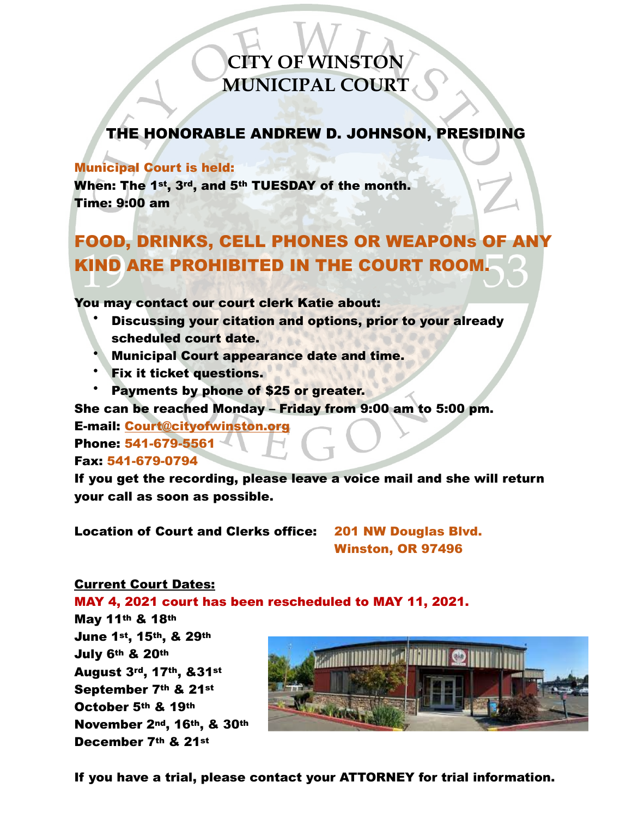# **CITY OF WINSTON MUNICIPAL COURT**

### THE HONORABLE ANDREW D. JOHNSON, PRESIDING

#### Municipal Court is held:

When: The 1st, 3rd, and 5th TUESDAY of the month. Time: 9:00 am

## FOOD, DRINKS, CELL PHONES OR WEAPONs OF ANY KIND ARE PROHIBITED IN THE COURT ROOM.

You may contact our court clerk Katie about:

- Discussing your citation and options, prior to your already scheduled court date.
- Municipal Court appearance date and time.
- Fix it ticket questions.
- Payments by phone of \$25 or greater.

She can be reached Monday – Friday from 9:00 am to 5:00 pm.

E-mail: [Court@cityofwinston.org](mailto:Court@cityofwinston.org) Phone: 541-679-5561

Fax: 541-679-0794

If you get the recording, please leave a voice mail and she will return your call as soon as possible.

Location of Court and Clerks office: 201 NW Douglas Blvd.

Winston, OR 97496

### Current Court Dates:

MAY 4, 2021 court has been rescheduled to MAY 11, 2021.

May 11th & 18th June 1st, 15th, & 29th July 6th & 20th August 3rd, 17th, &31st September 7th & 21st October 5th & 19th November 2nd, 16th, & 30th December 7th & 21st



If you have a trial, please contact your ATTORNEY for trial information.